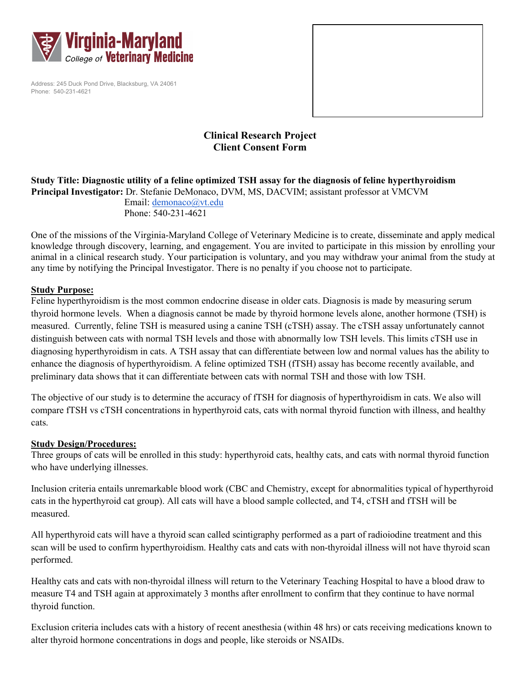

Address: 245 Duck Pond Drive, Blacksburg, VA 24061 Phone: 540-231-4621



# **Clinical Research Project Client Consent Form**

### **Study Title: Diagnostic utility of a feline optimized TSH assay for the diagnosis of feline hyperthyroidism Principal Investigator:** Dr. Stefanie DeMonaco, DVM, MS, DACVIM; assistant professor at VMCVM Email: [demonaco@vt.edu](mailto:demonaco@vt.edu) Phone: 540-231-4621

One of the missions of the Virginia-Maryland College of Veterinary Medicine is to create, disseminate and apply medical knowledge through discovery, learning, and engagement. You are invited to participate in this mission by enrolling your animal in a clinical research study. Your participation is voluntary, and you may withdraw your animal from the study at any time by notifying the Principal Investigator. There is no penalty if you choose not to participate.

## **Study Purpose:**

Feline hyperthyroidism is the most common endocrine disease in older cats. Diagnosis is made by measuring serum thyroid hormone levels. When a diagnosis cannot be made by thyroid hormone levels alone, another hormone (TSH) is measured. Currently, feline TSH is measured using a canine TSH (cTSH) assay. The cTSH assay unfortunately cannot distinguish between cats with normal TSH levels and those with abnormally low TSH levels. This limits cTSH use in diagnosing hyperthyroidism in cats. A TSH assay that can differentiate between low and normal values has the ability to enhance the diagnosis of hyperthyroidism. A feline optimized TSH (fTSH) assay has become recently available, and preliminary data shows that it can differentiate between cats with normal TSH and those with low TSH.

The objective of our study is to determine the accuracy of fTSH for diagnosis of hyperthyroidism in cats. We also will compare fTSH vs cTSH concentrations in hyperthyroid cats, cats with normal thyroid function with illness, and healthy cats.

## **Study Design/Procedures:**

Three groups of cats will be enrolled in this study: hyperthyroid cats, healthy cats, and cats with normal thyroid function who have underlying illnesses.

Inclusion criteria entails unremarkable blood work (CBC and Chemistry, except for abnormalities typical of hyperthyroid cats in the hyperthyroid cat group). All cats will have a blood sample collected, and T4, cTSH and fTSH will be measured.

All hyperthyroid cats will have a thyroid scan called scintigraphy performed as a part of radioiodine treatment and this scan will be used to confirm hyperthyroidism. Healthy cats and cats with non-thyroidal illness will not have thyroid scan performed.

Healthy cats and cats with non-thyroidal illness will return to the Veterinary Teaching Hospital to have a blood draw to measure T4 and TSH again at approximately 3 months after enrollment to confirm that they continue to have normal thyroid function.

Exclusion criteria includes cats with a history of recent anesthesia (within 48 hrs) or cats receiving medications known to alter thyroid hormone concentrations in dogs and people, like steroids or NSAIDs.